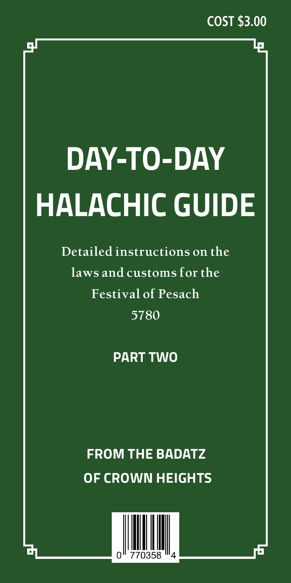ا ما

# **DAY-TO-DAY HALACHIC GUIDE**

**Detailed instructions on the laws and customs for the Festival of Pesach 5780**

# **PART TWO**

# **FROM THE BADATZ OF CROWN HEIGHTS**



لو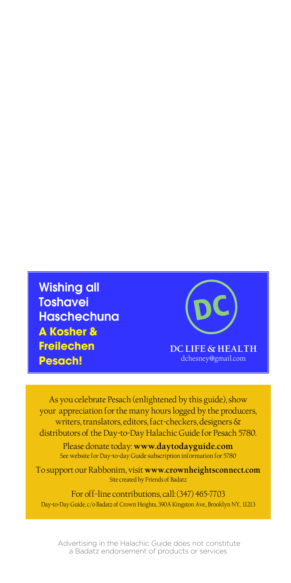Wishing all **Toshavei Haschechuna A Kosher & Freilechen Pesach!**

DC **DC LIFE & HEALTH** dchesney@gmail.com

As you celebrate Pesach (enlightened by this guide), show your appreciation for the many hours logged by the producers, writers, translators, editors, fact-checkers, designers & distributors of the Day-to-Day Halachic Guide for Pesach 5780.

Please donate today: **www.daytodayguide.com** See website for Day-to-day Guide subscription information for 5780

To support our Rabbonim, visit **www.crownheightsconnect.com** Site created by Friends of Badatz

For off-line contributions, call: (347) 465-7703 Day-to-Day Guide, c/o Badatz of Crown Heights, 390A Kingston Ave., Brooklyn NY, 11213

 Advertising in the Halachic Guide does not constitute a Badatz endorsement of products or services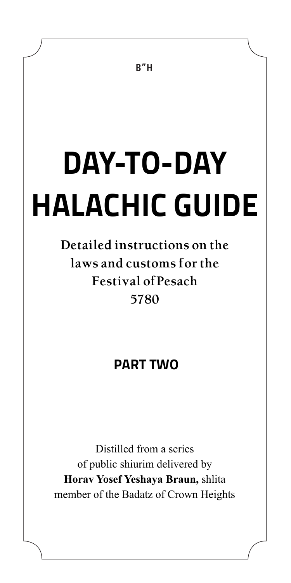# **DAY-TO-DAY HALACHIC GUIDE**

# **Detailed instructions on the laws and customs for the Festival ofPesach 5780**

# **PART TWO**

Distilled from a series of public shiurim delivered by **Horav Yosef Yeshaya Braun,** shlita member of the Badatz of Crown Heights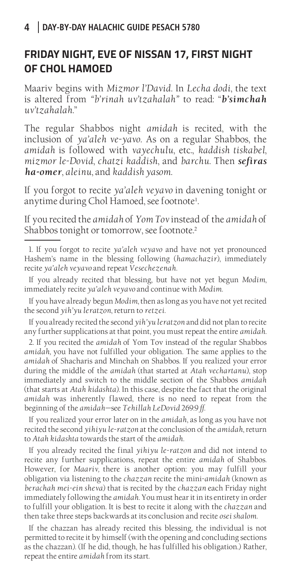#### **FRIDAY NIGHT, EVE OF NISSAN 17, FIRST NIGHT OF CHOL HAMOED**

Maariv begins with *Mizmor l'David*. In *Lecha dodi*, the text is altered from *"b'rinah uv'tzahalah"* to read: "*b'simchah uv'tzahalah*."

The regular Shabbos night *amidah* is recited, with the inclusion of *ya'aleh ve-yavo*. As on a regular Shabbos, the *amidah* is followed with *vayechulu*, etc., *kaddish tiskabel*, *mizmor le-Dovid*, *chatzi kaddish*, and *barchu*. Then *sefiras ha-omer*, *aleinu*, and *kaddish yasom*.

If you forgot to recite *ya'aleh veyavo* in davening tonight or anytime during Chol Hamoed, see footnote<sup>1</sup>. .

If you recited the *amidah* of *Yom Tov* instead of the *amidah* of Shabbos tonight or tomorrow, see footnote.<sup>2</sup>

If you have already begun *Modim*, then as long as you have not yet recited the second *yih'yu leratzon*, return to *retzei*.

If you already recited the second *yih'yu leratzon* and did not plan to recite any further supplications at that point, you must repeat the entire *amidah*.

2. If you recited the *amidah* of Yom Tov instead of the regular Shabbos *amidah,* you have not fulfilled your obligation. The same applies to the *amidah* of Shacharis and Minchah on Shabbos. If you realized your error during the middle of the *amidah* (that started at *Atah vechartanu*), stop immediately and switch to the middle section of the Shabbos *amidah*  (that starts at *Atah kidashta*). In this case, despite the fact that the original *amidah* was inherently flawed, there is no need to repeat from the beginning of the *amidah*—see *Tehillah LeDovid* 269:9 *ff.*

If you realized your error later on in the *amidah*, as long as you have not recited the second *yihiyu le-ratzon* at the conclusion of the *amidah*, return to *Atah kidashta* towards the start of the *amidah*.

If you already recited the final *yihiyu le-ratzon* and did not intend to recite any further supplications, repeat the entire *amidah* of Shabbos. However, for *Maariv,* there is another option: you may fulfill your obligation via listening to the *chazzan* recite the mini-*amidah* (known as *berachah mei-ein sheva*) that is recited by the *chazzan* each Friday night immediately following the *amidah*. You must hear it in its entirety in order to fulfill your obligation. It is best to recite it along with the *chazzan* and then take three steps backwards at its conclusion and recite *osei shalom*.

If the chazzan has already recited this blessing, the individual is not permitted to recite it by himself (with the opening and concluding sections as the chazzan). (If he did, though, he has fulfilled his obligation.) Rather, repeat the entire *amidah* from its start.

<sup>1.</sup> If you forgot to recite *ya'aleh veyavo* and have not yet pronounced Hashem's name in the blessing following (*hamachazir*), immediately recite *ya'aleh veyavo* and repeat *Vesechezenah*.

If you already recited that blessing, but have not yet begun *Modim*, immediately recite *ya'aleh veyavo* and continue with *Modim*.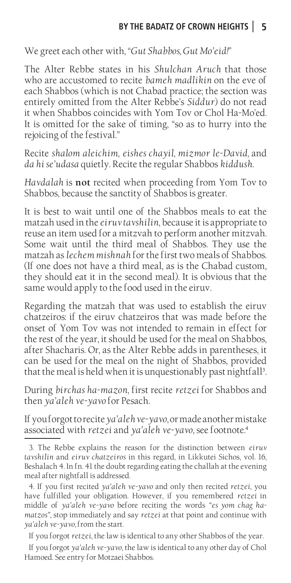We greet each other with, "*Gut Shabbos, Gut Mo'eid!*"

The Alter Rebbe states in his *Shulchan Aruch* that those who are accustomed to recite *bameh madlikin* on the eve of each Shabbos (which is not Chabad practice; the section was entirely omitted from the Alter Rebbe's *Siddur*) do not read it when Shabbos coincides with Yom Tov or Chol Ha-Mo'ed. It is omitted for the sake of timing, "so as to hurry into the rejoicing of the festival."

Recite *shalom aleichim*, *eishes chayil, mizmor le-David,* and *da hi se'udasa* quietly. Recite the regular Shabbos *kiddush*.

*Havdalah* is **not** recited when proceeding from Yom Tov to Shabbos, because the sanctity of Shabbos is greater.

It is best to wait until one of the Shabbos meals to eat the matzah used in the *eiruv tavshilin*, because it is appropriate to reuse an item used for a mitzvah to perform another mitzvah. Some wait until the third meal of Shabbos. They use the matzah as *lechem mishnah* for the first two meals of Shabbos. (If one does not have a third meal, as is the Chabad custom, they should eat it in the second meal). It is obvious that the same would apply to the food used in the eiruv.

Regarding the matzah that was used to establish the eiruv chatzeiros: if the eiruv chatzeiros that was made before the onset of Yom Tov was not intended to remain in effect for the rest of the year, it should be used for the meal on Shabbos, after Shacharis. Or, as the Alter Rebbe adds in parentheses, it can be used for the meal on the night of Shabbos, provided that the meal is held when it is unquestionably past nightfall<sup>3</sup>. .

During *birchas ha-mazon*, first recite *retzei* for Shabbos and then *ya'aleh ve-yavo* for Pesach.

If you forgot to recite *ya'aleh ve-yavo*, or made another mistake associated with *retzei* and *ya'aleh ve-yavo*, see footnote.<sup>4</sup>

If you forgot *retzei*, the law is identical to any other Shabbos of the year.

If you forgot *ya'aleh ve-yavo*, the law is identical to any other day of Chol Hamoed. See entry for Motzaei Shabbos.

<sup>3.</sup> The Rebbe explains the reason for the distinction between *eiruv tavshilin* and *eiruv chatzeiros* in this regard, in Likkutei Sichos, vol. 16, Beshalach 4. In fn. 41 the doubt regarding eating the challah at the evening meal after nightfall is addressed.

<sup>4.</sup> If you first recited *ya'aleh ve-yavo* and only then recited *retzei*, you have fulfilled your obligation. However, if you remembered *retzei* in middle of *ya'aleh ve-yavo* before reciting the words *"es yom chag hamatzos"*, stop immediately and say *retzei* at that point and continue with *ya'aleh ve-yavo,* from the start.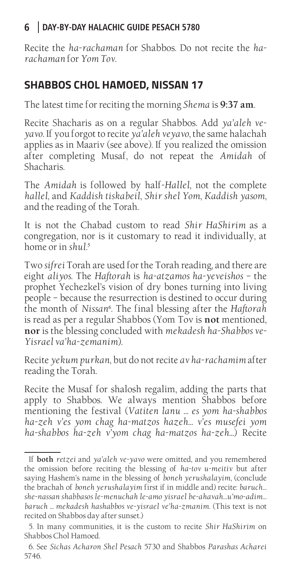Recite the *ha-rachaman* for Shabbos. Do not recite the *harachaman* for *Yom Tov*.

#### **SHABBOS CHOL HAMOED, NISSAN 17**

The latest time for reciting the morning *Shema* is **9:37 am**.

Recite Shacharis as on a regular Shabbos. Add *ya'aleh veyavo*. If you forgot to recite *ya'aleh veyavo*, the same halachah applies as in Maariv (see above). If you realized the omission after completing Musaf, do not repeat the *Amidah* of Shacharis.

The *Amidah* is followed by half-*Hallel*, not the complete *hallel*, and *Kaddish tiskabeil*, *Shir shel Yom*, *Kaddish yasom*, and the reading of the Torah.

It is not the Chabad custom to read *Shir HaShirim* as a congregation, nor is it customary to read it individually, at home or in *shul*. 5

Two *sifrei* Torah are used for the Torah reading, and there are eight *aliyos*. The *Haftorah* is *ha-atzamos ha-yeveishos* – the prophet Yechezkel's vision of dry bones turning into living people – because the resurrection is destined to occur during the month of *Nissan*<sup>6</sup> . The final blessing after the *Haftorah*  is read as per a regular Shabbos (Yom Tov is **not** mentioned, **nor** is the blessing concluded with *mekadesh ha-Shabbos ve-Yisrael va'ha-zemanim*).

Recite *yekum purkan*, but do not recite *av ha-rachamim* after reading the Torah.

Recite the Musaf for shalosh regalim, adding the parts that apply to Shabbos. We always mention Shabbos before mentioning the festival (*Vatiten lanu … es yom ha-shabbos ha-zeh v'es yom chag ha-matzos hazeh… v'es musefei yom ha-shabbos ha-zeh v'yom chag ha-matzos ha-zeh...*) Recite

If **both** *retzei* and *ya'aleh ve-yavo* were omitted, and you remembered the omission before reciting the blessing of *ha-tov u-meitiv* but after saying Hashem's name in the blessing of *boneh yerushalayim*, (conclude the brachah of *boneh yerushalayim* first if in middle and) recite: *baruch… she-nassan shabbasos le-menuchah le-amo yisrael be-ahavah…u'mo-adim… baruch … mekadesh hashabbos ve-yisrael ve'ha-zmanim*. (This text is not recited on Shabbos day after sunset.)

<sup>5.</sup> In many communities, it is the custom to recite *Shir HaShirim* on Shabbos Chol Hamoed.

<sup>6.</sup> See *Sichas Acharon Shel Pesach* 5730 and Shabbos *Parashas Acharei* 5746.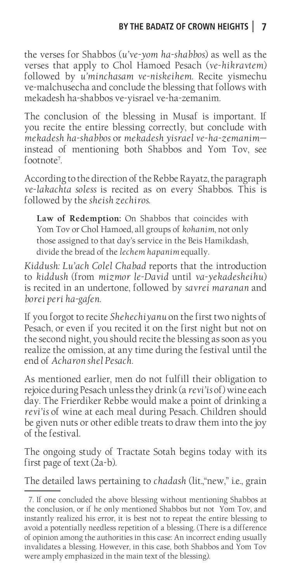the verses for Shabbos (*u've-yom ha-shabbos*) as well as the verses that apply to Chol Hamoed Pesach (*ve-hikravtem*) followed by *u'minchasam ve-niskeihem*. Recite yismechu ve-malchusecha and conclude the blessing that follows with mekadesh ha-shabbos ve-yisrael ve-ha-zemanim.

The conclusion of the blessing in Musaf is important. If you recite the entire blessing correctly, but conclude with *mekadesh ha-shabbos* or *mekadesh yisrael ve-ha-zemanim* instead of mentioning both Shabbos and Yom Tov, see footnote<sup>7</sup>. .

According to the direction of the Rebbe Rayatz, the paragraph *ve-lakachta soless* is recited as on every Shabbos. This is followed by the *sheish zechiros*.

**Law of Redemption:** On Shabbos that coincides with Yom Tov or Chol Hamoed, all groups of *kohanim*, not only those assigned to that day's service in the Beis Hamikdash, divide the bread of the *lechem hapanim* equally.

*Kiddush: Lu'ach Colel Chabad* reports that the introduction to *kiddush* (from *mizmor le-David* until *va-yekadesheihu*) is recited in an undertone, followed by *savrei maranan* and *borei peri ha-gafen*.

If you forgot to recite *Shehechiyanu* on the first two nights of Pesach, or even if you recited it on the first night but not on the second night, you should recite the blessing as soon as you realize the omission, at any time during the festival until the end of *Acharon shel Pesach*.

As mentioned earlier, men do not fulfill their obligation to rejoice during Pesach unless they drink (a *revi'is* of) wine each day. The Frierdiker Rebbe would make a point of drinking a *revi'is* of wine at each meal during Pesach. Children should be given nuts or other edible treats to draw them into the joy of the festival.

The ongoing study of Tractate Sotah begins today with its first page of text (2a-b).

The detailed laws pertaining to *chadash* (lit.,"new," i.e., grain

<sup>7.</sup> If one concluded the above blessing without mentioning Shabbos at the conclusion, or if he only mentioned Shabbos but not Yom Tov, and instantly realized his error, it is best not to repeat the entire blessing to avoid a potentially needless repetition of a blessing. (There is a difference of opinion among the authorities in this case: An incorrect ending usually invalidates a blessing. However, in this case, both Shabbos and Yom Tov were amply emphasized in the main text of the blessing).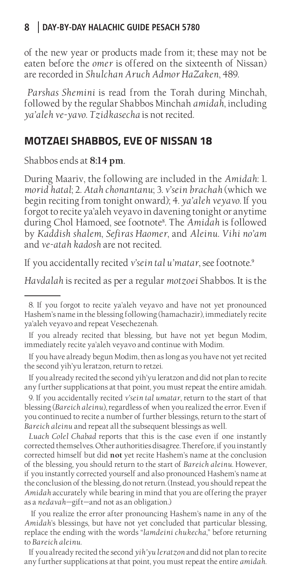of the new year or products made from it; these may not be eaten before the *omer* is offered on the sixteenth of Nissan) are recorded in *Shulchan Aruch Admor HaZaken*, 489.

 *Parshas Shemini* is read from the Torah during Minchah, followed by the regular Shabbos Minchah *amidah*, including *ya'aleh ve-yavo*. *Tzidkasecha* is not recited.

#### **MOTZAEI SHABBOS, EVE OF NISSAN 18**

Shabbos ends at **8:14 pm**.

During Maariv, the following are included in the *Amidah*: 1. *morid hatal*; 2. *Atah chonantanu*; 3. *v'sein brachah* (which we begin reciting from tonight onward); 4. *ya'aleh veyavo*. If you forgot to recite ya'aleh veyavo in davening tonight or anytime during Chol Hamoed, see footnote<sup>8</sup> . The *Amidah* is followed by *Kaddish shalem*, *Sefiras Haomer*, and *Aleinu*. *Vihi no'am*  and *ve-atah kadosh* are not recited.

If you accidentally recited *v'sein tal u'matar*, see footnote.<sup>9</sup>

*Havdalah* is recited as per a regular *motzoei* Shabbos. It is the

If you already recited that blessing, but have not yet begun Modim, immediately recite ya'aleh veyavo and continue with Modim.

If you have already begun Modim, then as long as you have not yet recited the second yih'yu leratzon, return to retzei.

If you already recited the second yih'yu leratzon and did not plan to recite any further supplications at that point, you must repeat the entire amidah.

9. If you accidentally recited *v'sein tal umatar*, return to the start of that blessing (*Bareich aleinu*), regardless of when you realized the error. Even if you continued to recite a number of further blessings, return to the start of *Bareich aleinu* and repeat all the subsequent blessings as well.

*Luach Colel Chabad* reports that this is the case even if one instantly corrected themselves. Other authorities disagree. Therefore, if you instantly corrected himself but did **not** yet recite Hashem's name at the conclusion of the blessing, you should return to the start of *Bareich aleinu*. However, if you instantly corrected yourself and also pronounced Hashem's name at the conclusion of the blessing, do not return. (Instead, you should repeat the *Amidah* accurately while bearing in mind that you are offering the prayer as a *nedavah*—gift—and not as an obligation.)

 If you realize the error after pronouncing Hashem's name in any of the *Amidah*'s blessings, but have not yet concluded that particular blessing, replace the ending with the words "*lamdeini chukecha*," before returning to *Bareich aleinu*.

If you already recited the second *yih'yu leratzon* and did not plan to recite any further supplications at that point, you must repeat the entire *amidah*.

<sup>8.</sup> If you forgot to recite ya'aleh veyavo and have not yet pronounced Hashem's name in the blessing following (hamachazir), immediately recite ya'aleh veyavo and repeat Vesechezenah.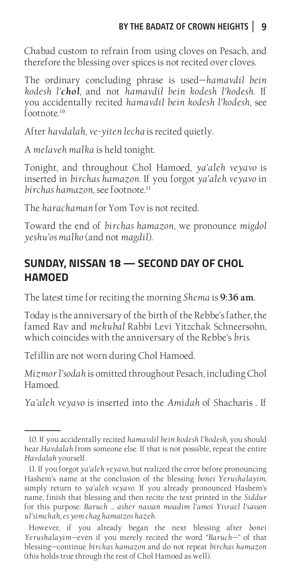Chabad custom to refrain from using cloves on Pesach, and therefore the blessing over spices is not recited over cloves.

The ordinary concluding phrase is used—*hamavdil bein kodesh l'chol*, and not *hamavdil bein kodesh l'kodesh*. If you accidentally recited *hamavdil bein kodesh l'kodesh*, see footnote<sup>10</sup>

After *havdalah*, *ve-yiten lecha* is recited quietly.

A *melaveh malka* is held tonight.

Tonight, and throughout Chol Hamoed, *ya'aleh veyavo* is inserted in *birchas hamazon*. If you forgot *ya'aleh veyavo* in *birchas hamazon*, see footnote.<sup>11</sup>

The *harachaman* for Yom Tov is not recited.

Toward the end of *birchas hamazon*, we pronounce *migdol yeshu'os malko* (and not *magdil*).

# **SUNDAY, NISSAN 18 — SECOND DAY OF CHOL HAMOED**

The latest time for reciting the morning *Shema* is **9:36 am**.

Today is the anniversary of the birth of the Rebbe's father, the famed Rav and *mekubal* Rabbi Levi Yitzchak Schneersohn, which coincides with the anniversary of the Rebbe's *bris*.

Tefillin are not worn during Chol Hamoed.

*Mizmor l'sodah* is omitted throughout Pesach, including Chol Hamoed.

*Ya'aleh veyavo* is inserted into the *Amidah* of Shacharis . If

<sup>10.</sup> If you accidentally recited *hamavdil bein kodesh l'kodesh*, you should hear *Havdalah* from someone else. If that is not possible, repeat the entire *Havdalah* yourself.

<sup>11.</sup> If you forgot *ya'aleh veyavo,* but realized the error before pronouncing Hashem's name at the conclusion of the blessing *bonei Yerushalayim*, simply return to *ya'aleh veyavo*. If you already pronounced Hashem's name, finish that blessing and then recite the text printed in the *Siddur*  for this purpose: *Baruch … asher nassan moadim l'amoi Yisrael l'sasson ul'simchah, es yom chag hamatzos hazeh.*

However, if you already began the next blessing after *bonei Yerushalayim*—even if you merely recited the word *"Baruch*—" of that blessing—continue *birchas hamazon* and do not repeat *birchas hamazon* (this holds true through the rest of Chol Hamoed as well).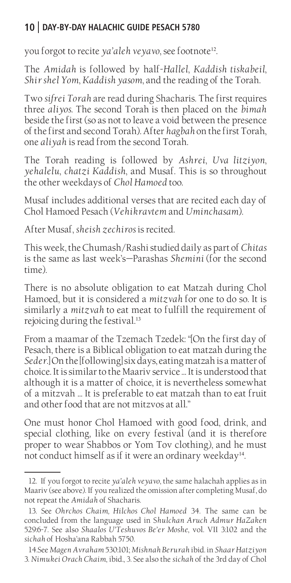you forgot to recite *ya'aleh veyavo*, see footnote<sup>12</sup>.

The *Amidah* is followed by half-*Hallel*, *Kaddish tiskabeil*, *Shir shel Yom*, *Kaddish yasom*, and the reading of the Torah.

Two *sifrei Torah* are read during Shacharis. The first requires three *aliyos*. The second Torah is then placed on the *bimah*  beside the first (so as not to leave a void between the presence of the first and second Torah). After *hagbah* on the first Torah, one *aliyah* is read from the second Torah.

The Torah reading is followed by *Ashrei*, *Uva litziyon*, *yehalelu*, *chatzi Kaddish*, and Musaf. This is so throughout the other weekdays of *Chol Hamoed* too.

Musaf includes additional verses that are recited each day of Chol Hamoed Pesach (*Vehikravtem* and *Uminchasam*).

After Musaf, *sheish zechiros* is recited.

This week, the Chumash/Rashi studied daily as part of *Chitas*  is the same as last week's—Parashas *Shemini* (for the second time).

There is no absolute obligation to eat Matzah during Chol Hamoed, but it is considered a *mitzvah* for one to do so. It is similarly a *mitzvah* to eat meat to fulfill the requirement of rejoicing during the festival.<sup>13</sup>

From a maamar of the Tzemach Tzedek: "[On the first day of Pesach, there is a Biblical obligation to eat matzah during the *Seder.*] On the [following] six days, eating matzah is a matter of choice. It is similar to the Maariv service … It is understood that although it is a matter of choice, it is nevertheless somewhat of a mitzvah … It is preferable to eat matzah than to eat fruit and other food that are not mitzvos at all."

One must honor Chol Hamoed with good food, drink, and special clothing, like on every festival (and it is therefore proper to wear Shabbos or Yom Tov clothing), and he must not conduct himself as if it were an ordinary weekday<sup>14</sup>.

<sup>12.</sup> If you forgot to recite *ya'aleh veyavo*, the same halachah applies as in Maariv (see above). If you realized the omission after completing Musaf, do not repeat the *Amidah* of Shacharis.

<sup>13.</sup> See *Ohrchos Chaim, Hilchos Chol Hamoed* 34. The same can be concluded from the language used in S*hulchan Aruch Admur HaZaken* 529:6-7. See also *Shaalos U'Teshuvos Be'er Moshe*, vol. VII 3:102 and the *sichah* of Hosha'ana Rabbah 5750.

<sup>14.</sup>See *Magen Avraham* 530:101; *Mishnah Berurah* ibid. in *Shaar Hatziyon* 3. *Nimukei Orach Chaim*, ibid., 3. See also the *sichah* of the 3rd day of Chol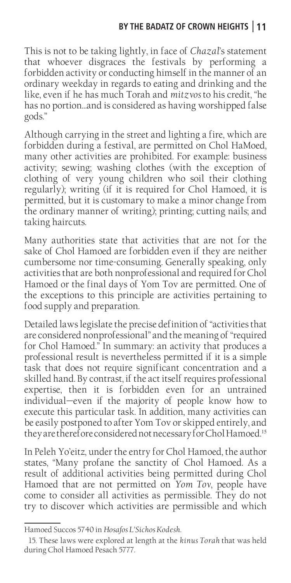#### **BY THE BADATZ OF CROWN HEIGHTS 11**

This is not to be taking lightly, in face of *Chazal*'s statement that whoever disgraces the festivals by performing a forbidden activity or conducting himself in the manner of an ordinary weekday in regards to eating and drinking and the like, even if he has much Torah and *mitzvos* to his credit, "he has no portion…and is considered as having worshipped false gods."

Although carrying in the street and lighting a fire, which are forbidden during a festival, are permitted on Chol HaMoed, many other activities are prohibited. For example: business activity; sewing; washing clothes (with the exception of clothing of very young children who soil their clothing regularly); writing (if it is required for Chol Hamoed, it is permitted, but it is customary to make a minor change from the ordinary manner of writing); printing; cutting nails; and taking haircuts.

Many authorities state that activities that are not for the sake of Chol Hamoed are forbidden even if they are neither cumbersome nor time-consuming. Generally speaking, only activities that are both nonprofessional and required for Chol Hamoed or the final days of Yom Tov are permitted. One of the exceptions to this principle are activities pertaining to food supply and preparation.

Detailed laws legislate the precise definition of "activities that are considered nonprofessional" and the meaning of "required for Chol Hamoed." In summary: an activity that produces a professional result is nevertheless permitted if it is a simple task that does not require significant concentration and a skilled hand. By contrast, if the act itself requires professional expertise, then it is forbidden even for an untrained individual—even if the majority of people know how to execute this particular task. In addition, many activities can be easily postponed to after Yom Tov or skipped entirely, and they are therefore considered not necessary for Chol Hamoed.<sup>15</sup>

In Peleh Yo'eitz, under the entry for Chol Hamoed, the author states, "Many profane the sanctity of Chol Hamoed. As a result of additional activities being permitted during Chol Hamoed that are not permitted on *Yom Tov*, people have come to consider all activities as permissible. They do not try to discover which activities are permissible and which

Hamoed Succos 5740 in *Hosafos L'Sichos Kodesh.*

<sup>15.</sup> These laws were explored at length at the *kinus Torah* that was held during Chol Hamoed Pesach 5777.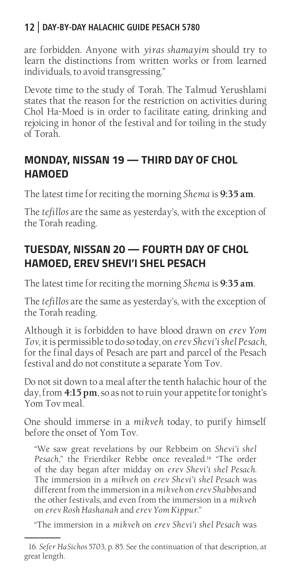are forbidden. Anyone with *yiras shamayim* should try to learn the distinctions from written works or from learned individuals, to avoid transgressing."

Devote time to the study of Torah. The Talmud Yerushlami states that the reason for the restriction on activities during Chol Ha-Moed is in order to facilitate eating, drinking and rejoicing in honor of the festival and for toiling in the study of Torah.

# **MONDAY, NISSAN 19 — THIRD DAY OF CHOL HAMOED**

The latest time for reciting the morning *Shema* is **9:35 am**.

The *tefillos* are the same as yesterday's, with the exception of the Torah reading.

# **TUESDAY, NISSAN 20 — FOURTH DAY OF CHOL HAMOED, EREV SHEVI'I SHEL PESACH**

The latest time for reciting the morning *Shema* is **9:35 am**.

The *tefillos* are the same as yesterday's, with the exception of the Torah reading.

Although it is forbidden to have blood drawn on *erev Yom Tov*, it is permissible to do so today, on *erev Shevi'i shel Pesach*, for the final days of Pesach are part and parcel of the Pesach festival and do not constitute a separate Yom Tov.

Do not sit down to a meal after the tenth halachic hour of the day, from **4:15 pm**, so as not to ruin your appetite for tonight's Yom Tov meal.

One should immerse in a *mikveh* today, to purify himself before the onset of Yom Tov.

"We saw great revelations by our Rebbeim on *Shevi'i shel Pesach*," the Frierdiker Rebbe once revealed.<sup>16</sup> "The order of the day began after midday on *erev Shevi'i shel Pesach*. The immersion in a *mikveh* on *erev Shevi'i shel Pesach* was different from the immersion in a *mikveh* on *erev Shabbos* and the other festivals, and even from the immersion in a *mikveh*  on *erev Rosh Hashanah* and *erev Yom Kippur*."

"The immersion in a *mikveh* on *erev Shevi'i shel Pesach* was

<sup>16.</sup> *Sefer HaSichos* 5703, p. 85. See the continuation of that description, at great length.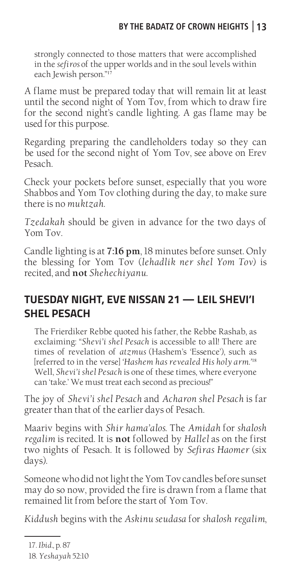strongly connected to those matters that were accomplished in the *sefiros* of the upper worlds and in the soul levels within each Jewish person."<sup>17</sup>

A flame must be prepared today that will remain lit at least until the second night of Yom Tov, from which to draw fire for the second night's candle lighting. A gas flame may be used for this purpose.

Regarding preparing the candleholders today so they can be used for the second night of Yom Tov, see above on Erev Pesach.

Check your pockets before sunset, especially that you wore Shabbos and Yom Tov clothing during the day, to make sure there is no *muktzah*.

*Tzedakah* should be given in advance for the two days of Yom Tov.

Candle lighting is at **7:16 pm**, 18 minutes before sunset. Only the blessing for Yom Tov (*lehadlik ner shel Yom Tov*) is recited, and **not** *Shehechiyanu*.

# **TUESDAY NIGHT, EVE NISSAN 21 — LEIL SHEVI'I SHEL PESACH**

The Frierdiker Rebbe quoted his father, the Rebbe Rashab, as exclaiming: "*Shevi'i shel Pesach* is accessible to all! There are times of revelation of *atzmus* (Hashem's 'Essence'), such as [referred to in the verse] *'Hashem has revealed His holy arm.'*<sup>18</sup> Well, *Shevi'i shel Pesach* is one of these times, where everyone can 'take.' We must treat each second as precious!"

The joy of *Shevi'i shel Pesach* and *Acharon shel Pesach* is far greater than that of the earlier days of Pesach.

Maariv begins with *Shir hama'alos*. The *Amidah* for *shalosh regalim* is recited. It is **not** followed by *Hallel* as on the first two nights of Pesach. It is followed by *Sefiras Haomer* (six days).

Someone who did not light the Yom Tovcandles before sunset may do so now, provided the fire is drawn from a flame that remained lit from before the start of Yom Tov.

*Kiddush* begins with the *Askinu seudasa* for *shalosh regalim*,

<sup>17.</sup> *Ibid.,* p. 87

<sup>18.</sup> *Yeshayah* 52:10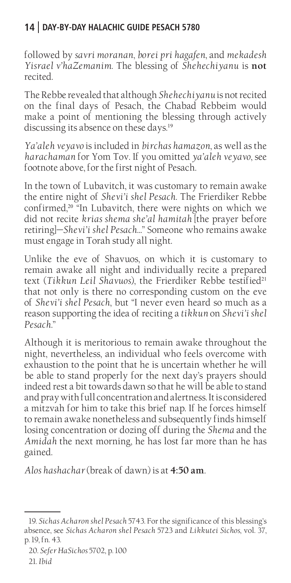followed by *savri moranan*, *borei pri hagafen*, and *mekadesh Yisrael v'haZemanim*. The blessing of *Shehechiyanu* is **not**  recited.

The Rebbe revealed that although *Shehechiyanu* is not recited on the final days of Pesach, the Chabad Rebbeim would make a point of mentioning the blessing through actively discussing its absence on these days.<sup>19</sup>

*Ya'aleh veyavo* is included in *birchas hamazon*, as well as the *harachaman* for Yom Tov. If you omitted *ya'aleh veyavo*, see footnote above, for the first night of Pesach.

In the town of Lubavitch, it was customary to remain awake the entire night of *Shevi'i shel Pesach*. The Frierdiker Rebbe confirmed,<sup>20 "In</sup> Lubavitch, there were nights on which we did not recite *krias shema she'al hamitah* [the prayer before retiring]—*Shevi'i shel Pesach…*" Someone who remains awake must engage in Torah study all night.

Unlike the eve of Shavuos, on which it is customary to remain awake all night and individually recite a prepared text (Tikkun Leil Shavuos), the Frierdiker Rebbe testified<sup>21</sup> that not only is there no corresponding custom on the eve of *Shevi'i shel Pesach*, but "I never even heard so much as a reason supporting the idea of reciting a *tikkun* on *Shevi'i shel Pesach*."

Although it is meritorious to remain awake throughout the night, nevertheless, an individual who feels overcome with exhaustion to the point that he is uncertain whether he will be able to stand properly for the next day's prayers should indeed rest a bit towards dawn so that he will be able to stand and pray with full concentration and alertness. It is considered a mitzvah for him to take this brief nap. If he forces himself to remain awake nonetheless and subsequently finds himself losing concentration or dozing off during the *Shema* and the *Amidah* the next morning, he has lost far more than he has gained.

*Alos hashachar* (break of dawn) is at **4:50 am**.

<sup>19.</sup> *Sichas Acharon shel Pesach* 5743. For the significance of this blessing's absence, see *Sichas Acharon shel Pesach* 5723 and *Likkutei Sichos*, vol. 37, p. 19, fn. 43.

<sup>20.</sup> *Sefer HaSichos* 5702, p. 100

<sup>21.</sup> *Ibid*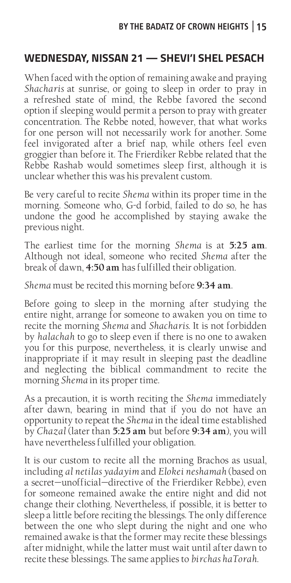# **WEDNESDAY, NISSAN 21 — SHEVI'I SHEL PESACH**

When faced with the option of remaining awake and praying *Shacharis* at sunrise, or going to sleep in order to pray in a refreshed state of mind, the Rebbe favored the second option if sleeping would permit a person to pray with greater concentration. The Rebbe noted, however, that what works for one person will not necessarily work for another. Some feel invigorated after a brief nap, while others feel even groggier than before it. The Frierdiker Rebbe related that the Rebbe Rashab would sometimes sleep first, although it is unclear whether this was his prevalent custom.

Be very careful to recite *Shema* within its proper time in the morning. Someone who, G-d forbid, failed to do so, he has undone the good he accomplished by staying awake the previous night.

The earliest time for the morning *Shema* is at **5:25 am**. Although not ideal, someone who recited *Shema* after the break of dawn, **4:50 am** has fulfilled their obligation.

*Shema* must be recited this morning before **9:34 am**.

Before going to sleep in the morning after studying the entire night, arrange for someone to awaken you on time to recite the morning *Shema* and *Shacharis*. It is not forbidden by *halachah* to go to sleep even if there is no one to awaken you for this purpose, nevertheless, it is clearly unwise and inappropriate if it may result in sleeping past the deadline and neglecting the biblical commandment to recite the morning *Shema* in its proper time.

As a precaution, it is worth reciting the *Shema* immediately after dawn, bearing in mind that if you do not have an opportunity to repeat the *Shema* in the ideal time established by *Chazal* (later than **5:25 am** but before **9:34 am**), you will have nevertheless fulfilled your obligation.

It is our custom to recite all the morning Brachos as usual, including *al netilas yadayim* and *Elokei neshamah* (based on a secret—unofficial—directive of the Frierdiker Rebbe), even for someone remained awake the entire night and did not change their clothing. Nevertheless, if possible, it is better to sleep a little before reciting the blessings. The only difference between the one who slept during the night and one who remained awake is that the former may recite these blessings after midnight, while the latter must wait until after dawn to recite these blessings. The same applies to *birchas haTorah*.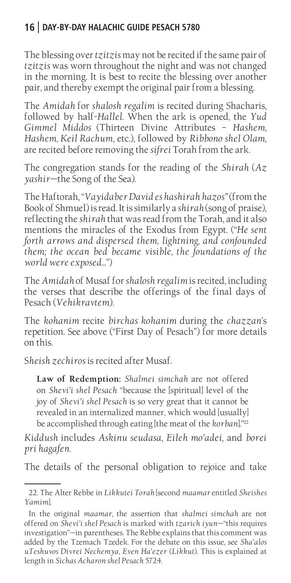The blessing over *tzitzis* may not be recited if the same pair of *tzitzis* was worn throughout the night and was not changed in the morning. It is best to recite the blessing over another pair, and thereby exempt the original pair from a blessing.

The *Amidah* for *shalosh regalim* is recited during Shacharis, followed by half-*Hallel*. When the ark is opened, the *Yud Gimmel Middos* (Thirteen Divine Attributes – *Hashem, Hashem, Keil Rachum*, etc.), followed by *Ribbono shel Olam*, are recited before removing the *sifrei* Torah from the ark.

The congregation stands for the reading of the *Shirah* (*Az yashir—*the Song of the Sea).

The Haftorah, "*Vayidaber David es hashirah hazos"* (from the Book of Shmuel) is read. It is similarly a *shirah* (song of praise), reflecting the *shirah* that was read from the Torah, and it also mentions the miracles of the Exodus from Egypt. ("*He sent forth arrows and dispersed them, lightning, and confounded them; the ocean bed became visible, the foundations of the world were exposed...*")

The *Amidah* of Musaf for *shalosh regalim* is recited, including the verses that describe the offerings of the final days of Pesach (*Vehikravtem*).

The *kohanim* recite *birchas kohanim* during the *chazzan*'s repetition. See above ("First Day of Pesach") for more details on this.

S*heish zechiros* is recited after Musaf.

**Law of Redemption:** *Shalmei simchah* are not offered on *Shevi'i shel Pesach* "because the [spiritual] level of the joy of *Shevi'i shel Pesach* is so very great that it cannot be revealed in an internalized manner, which would [usually] be accomplished through eating [the meat of the *korban*]."<sup>22</sup>

*Kiddush* includes *Askinu seudasa*, *Eileh mo'adei*, and *borei pri hagafen*.

The details of the personal obligation to rejoice and take

<sup>22.</sup> The Alter Rebbe in *Likkutei Torah* [second *maamar* entitled *Sheishes Yamim*].

In the original *maamar*, the assertion that *shalmei simchah* are not offered on *Shevi'i shel Pesach* is marked with *tzarich iyun—*"this requires investigation"—in parentheses. The Rebbe explains that this comment was added by the Tzemach Tzedek. For the debate on this issue, see *Sha'alos uTeshuvos Divrei Nechemya*, *Even Ha'ezer* (*Likkut*). This is explained at length in *Sichas Acharon shel Pesach* 5724.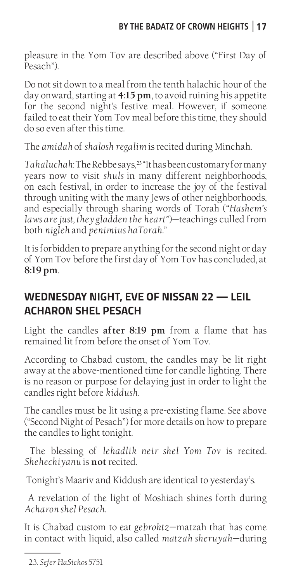pleasure in the Yom Tov are described above ("First Day of Pesach").

Do not sit down to a meal from the tenth halachic hour of the day onward, starting at **4:15 pm**, to avoid ruining his appetite for the second night's festive meal. However, if someone failed to eat their Yom Tov meal before this time, they should do so even after this time.

The *amidah* of *shalosh regalim* is recited during Minchah.

*Tahaluchah*: The Rebbe says,<sup>23</sup> "It has been customary for many years now to visit *shuls* in many different neighborhoods, on each festival, in order to increase the joy of the festival through uniting with the many Jews of other neighborhoods, and especially through sharing words of Torah (*"Hashem's laws are just, they gladden the heart"*)—teachings culled from both *nigleh* and *penimius haTorah*."

It is forbidden to prepare anything for the second night or day of Yom Tov before the first day of Yom Tov has concluded, at **8:19 pm**.

## **WEDNESDAY NIGHT, EVE OF NISSAN 22 — LEIL ACHARON SHEL PESACH**

Light the candles **after 8:19 pm** from a flame that has remained lit from before the onset of Yom Tov.

According to Chabad custom, the candles may be lit right away at the above-mentioned time for candle lighting. There is no reason or purpose for delaying just in order to light the candles right before *kiddush*.

The candles must be lit using a pre-existing flame. See above ("Second Night of Pesach") for more details on how to prepare the candles to light tonight.

 The blessing of *lehadlik neir shel Yom Tov* is recited*. Shehechiyanu* is **not** recited.

Tonight's Maariv and Kiddush are identical to yesterday's.

 A revelation of the light of Moshiach shines forth during *Acharon shel Pesach*.

It is Chabad custom to eat *gebroktz*—matzah that has come in contact with liquid, also called *matzah sheruyah*—during

<sup>23.</sup> *Sefer HaSichos* 5751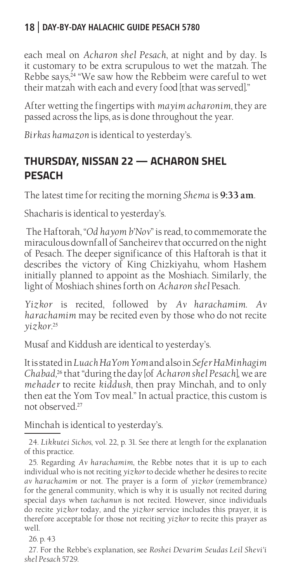each meal on *Acharon shel Pesach*, at night and by day. Is it customary to be extra scrupulous to wet the matzah. The Rebbe says,<sup>24</sup> "We saw how the Rebbeim were careful to wet their matzah with each and every food [that was served]."

After wetting the fingertips with *mayim acharonim*, they are passed across the lips, as is done throughout the year.

*Birkas hamazon* is identical to yesterday's.

# **THURSDAY, NISSAN 22 — ACHARON SHEL PESACH**

The latest time for reciting the morning *Shema* is **9:33 am**.

Shacharis is identical to yesterday's.

 The Haftorah, "*Od hayom b'Nov*" is read, to commemorate the miraculous downfall of Sancheirev that occurred on the night of Pesach. The deeper significance of this Haftorah is that it describes the victory of King Chizkiyahu, whom Hashem initially planned to appoint as the Moshiach. Similarly, the light of Moshiach shines forth on *Acharon shel* Pesach.

*Yizkor* is recited, followed by *Av harachamim*. *Av harachamim* may be recited even by those who do not recite *yizkor.*<sup>25</sup>

Musaf and Kiddush are identical to yesterday's.

It is stated in *Luach HaYom Yom* and also in *Sefer HaMinhagim Chabad,*<sup>26</sup> that "during the day [of *Acharon shel Pesach*], we are *mehader* to recite *kiddush*, then pray Minchah, and to only then eat the Yom Tov meal." In actual practice, this custom is not observed.<sup>27</sup>

Minchah is identical to yesterday's.

24. *Likkutei Sichos*, vol. 22, p. 31. See there at length for the explanation of this practice.

25. Regarding *Av harachamim*, the Rebbe notes that it is up to each individual who is not reciting *yizkor* to decide whether he desires to recite *av harachamim* or not. The prayer is a form of *yizkor* (remembrance) for the general community, which is why it is usually not recited during special days when *tachanun* is not recited. However, since individuals do recite *yizkor* today, and the *yizkor* service includes this prayer, it is therefore acceptable for those not reciting *yizkor* to recite this prayer as well.

26. p. 43

27. For the Rebbe's explanation, see *Roshei Devarim Seudas Leil Shevi'i shel Pesach* 5729.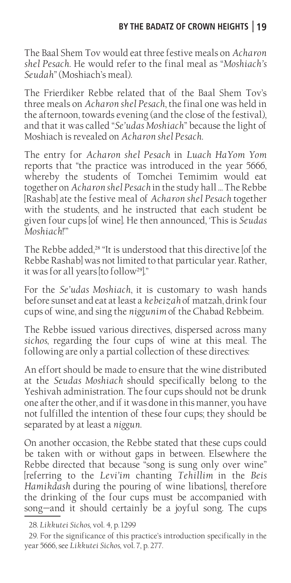The Baal Shem Tov would eat three festive meals on *Acharon shel Pesach*. He would refer to the final meal as "*Moshiach's Seudah*" (Moshiach's meal).

The Frierdiker Rebbe related that of the Baal Shem Tov's three meals on *Acharon shel Pesach*, the final one was held in the afternoon, towards evening (and the close of the festival), and that it was called "*Se'udas Moshiach*" because the light of Moshiach is revealed on *Acharon shel Pesach*.

The entry for *Acharon shel Pesach* in *Luach HaYom Yom*  reports that "the practice was introduced in the year 5666, whereby the students of Tomchei Temimim would eat together on *Acharon shel Pesach* in the study hall … The Rebbe [Rashab] ate the festive meal of *Acharon shel Pesach* together with the students, and he instructed that each student be given four cups [of wine]. He then announced, 'This is *Seudas Moshiach*!'"

The Rebbe added,<sup>28</sup> "It is understood that this directive [of the Rebbe Rashab] was not limited to that particular year. Rather, it was for all years [to follow<sup>29]</sup>."

For the *Se'udas Moshiach*, it is customary to wash hands before sunset and eat at least a *kebeizah* of matzah, drink four cups of wine, and sing the *niggunim* of the Chabad Rebbeim.

The Rebbe issued various directives, dispersed across many *sichos*, regarding the four cups of wine at this meal. The following are only a partial collection of these directives:

An effort should be made to ensure that the wine distributed at the *Seudas Moshiach* should specifically belong to the Yeshivah administration. The four cups should not be drunk one after the other, and if it was done in this manner, you have not fulfilled the intention of these four cups; they should be separated by at least a *niggun*.

On another occasion, the Rebbe stated that these cups could be taken with or without gaps in between. Elsewhere the Rebbe directed that because "song is sung only over wine" [referring to the *Levi'im* chanting *Tehillim* in the *Beis Hamikdash* during the pouring of wine libations], therefore the drinking of the four cups must be accompanied with song—and it should certainly be a joyful song. The cups

<sup>28.</sup> *Likkutei Sichos*, vol. 4, p. 1299

<sup>29.</sup> For the significance of this practice's introduction specifically in the year 5666, see *Likkutei Sichos*, vol. 7, p. 277.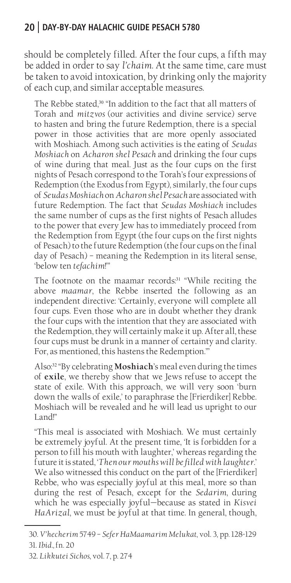should be completely filled. After the four cups, a fifth may be added in order to say *l'chaim*. At the same time, care must be taken to avoid intoxication, by drinking only the majority of each cup, and similar acceptable measures.

The Rebbe stated,<sup>30</sup> "In addition to the fact that all matters of Torah and *mitzvos* (our activities and divine service) serve to hasten and bring the future Redemption, there is a special power in those activities that are more openly associated with Moshiach. Among such activities is the eating of *Seudas Moshiach* on *Acharon shel Pesach* and drinking the four cups of wine during that meal. Just as the four cups on the first nights of Pesach correspond to the Torah's four expressions of Redemption (the Exodus from Egypt), similarly, the four cups of *Seudas Moshiach* on *Acharon shel Pesach* are associated with future Redemption. The fact that *Seudas Moshiach* includes the same number of cups as the first nights of Pesach alludes to the power that every Jew has to immediately proceed from the Redemption from Egypt (the four cups on the first nights of Pesach) to the future Redemption (the four cups on the final day of Pesach) – meaning the Redemption in its literal sense, 'below ten *tefachim*!'"

The footnote on the maamar records:<sup>31</sup> "While reciting the above *maamar*, the Rebbe inserted the following as an independent directive: 'Certainly, everyone will complete all four cups. Even those who are in doubt whether they drank the four cups with the intention that they are associated with the Redemption, they will certainly make it up. After all, these four cups must be drunk in a manner of certainty and clarity. For, as mentioned, this hastens the Redemption.'"

Also:<sup>32</sup> "By celebrating **Moshiach**'s meal even during the times of **exile**, we thereby show that we Jews refuse to accept the state of exile. With this approach, we will very soon 'burn down the walls of exile,' to paraphrase the [Frierdiker] Rebbe. Moshiach will be revealed and he will lead us upright to our Land<sup>"</sup>

"This meal is associated with Moshiach. We must certainly be extremely joyful. At the present time, 'It is forbidden for a person to fill his mouth with laughter,' whereas regarding the future it is stated, '*Then our mouths will be filled with laughter*.' We also witnessed this conduct on the part of the [Frierdiker] Rebbe, who was especially joyful at this meal, more so than during the rest of Pesach, except for the *Sedarim*, during which he was especially joyful—because as stated in *Kisvei HaArizal*, we must be joyful at that time. In general, though,

<sup>30.</sup> *V'hecherim* 5749 – *Sefer HaMaamarim Melukat*, vol. 3, pp. 128-129 31. *Ibid.,* fn. 20

<sup>32.</sup> *Likkutei Sichos*, vol. 7, p. 274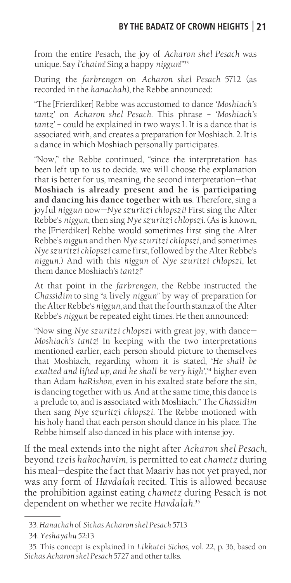from the entire Pesach, the joy of *Acharon shel Pesach* was unique. Say *l'chaim*! Sing a happy *niggun*!"<sup>33</sup>

During the *farbrengen* on *Acharon shel Pesach* 5712 (as recorded in the *hanachah*), the Rebbe announced:

"The [Frierdiker] Rebbe was accustomed to dance *'Moshiach's tantz*' on *Acharon shel Pesach*. This phrase – *'Moshiach's tantz*' – could be explained in two ways: 1. It is a dance that is associated with, and creates a preparation for Moshiach. 2. It is a dance in which Moshiach personally participates.

"Now," the Rebbe continued, "since the interpretation has been left up to us to decide, we will choose the explanation that is better for us, meaning, the second interpretation—that **Moshiach is already present and he is participating and dancing his dance together with us**. Therefore, sing a joyful *niggun* now—*Nye szuritzi chlopszi!* First sing the Alter Rebbe's *niggun*, then sing *Nye szuritzi chlopszi*. (As is known, the [Frierdiker] Rebbe would sometimes first sing the Alter Rebbe's *niggun* and then *Nye szuritzi chlopszi*, and sometimes *Nye szuritzi chlopszi* came first, followed by the Alter Rebbe's *niggun*.) And with this *niggun* of *Nye szuritzi chlopszi*, let them dance Moshiach's *tantz*!"

At that point in the *farbrengen*, the Rebbe instructed the *Chassidim* to sing "a lively *niggun*" by way of preparation for the Alter Rebbe's *niggun*, and that the fourth stanza of the Alter Rebbe's *niggun* be repeated eight times. He then announced:

"Now sing *Nye szuritzi chlopszi* with great joy, with dance— *Moshiach's tantz*! In keeping with the two interpretations mentioned earlier, each person should picture to themselves that Moshiach, regarding whom it is stated, '*He shall be exalted and lifted up, and he shall be very high',*<sup>34</sup> higher even than Adam *haRishon*, even in his exalted state before the sin, is dancing together with us. And at the same time, this dance is a prelude to, and is associated with Moshiach." The *Chassidim* then sang *Nye szuritzi chlopszi*. The Rebbe motioned with his holy hand that each person should dance in his place. The Rebbe himself also danced in his place with intense joy.

If the meal extends into the night after *Acharon shel Pesach*, beyond *tzeis hakochavim*, is permitted to eat *chametz* during his meal—despite the fact that Maariv has not yet prayed, nor was any form of *Havdalah* recited. This is allowed because the prohibition against eating *chametz* during Pesach is not dependent on whether we recite *Havdalah*. 35

<sup>33.</sup> *Hanachah* of *Sichas Acharon shel Pesach* 5713

<sup>34.</sup> *Yeshayahu* 52:13

<sup>35.</sup> This concept is explained in *Likkutei Sichos*, vol. 22, p. 36, based on *Sichas Acharon shel Pesach* 5727 and other talks.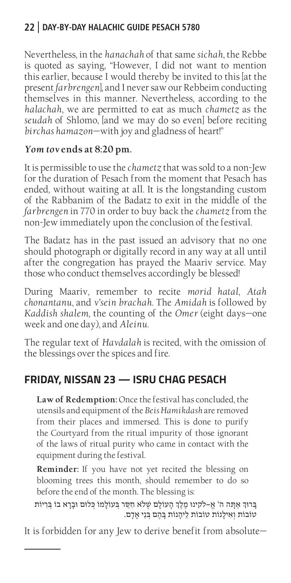Nevertheless, in the *hanachah* of that same *sichah*, the Rebbe is quoted as saying, "However, I did not want to mention this earlier, because I would thereby be invited to this [at the present *farbrengen*], and I never saw our Rebbeim conducting themselves in this manner. Nevertheless, according to the *halachah*, we are permitted to eat as much *chametz* as the *seudah* of Shlomo, [and we may do so even] before reciting *birchas hamazon*—with joy and gladness of heart!"

#### *Yom tov* **ends at 8:20 pm.**

It is permissible to use the *chametz* that was sold to a non-Jew for the duration of Pesach from the moment that Pesach has ended, without waiting at all. It is the longstanding custom of the Rabbanim of the Badatz to exit in the middle of the *farbrengen* in 770 in order to buy back the *chametz* from the non-Jew immediately upon the conclusion of the festival.

The Badatz has in the past issued an advisory that no one should photograph or digitally record in any way at all until after the congregation has prayed the Maariv service. May those who conduct themselves accordingly be blessed!

During Maariv, remember to recite *morid hatal*, *Atah chonantanu*, and *v'sein brachah*. The *Amidah* is followed by *Kaddish shalem*, the counting of the *Omer* (eight days—one week and one day), and *Aleinu*.

The regular text of *Havdalah* is recited, with the omission of the blessings over the spices and fire.

#### **FRIDAY, NISSAN 23 — ISRU CHAG PESACH**

**Law of Redemption:** Once the festival has concluded, the utensils and equipment of the *Beis Hamikdash* are removed from their places and immersed. This is done to purify the Courtyard from the ritual impurity of those ignorant of the laws of ritual purity who came in contact with the equipment during the festival.

**Reminder:** If you have not yet recited the blessing on blooming trees this month, should remember to do so before the end of the month. The blessing is:

בָרוּךְ אַתָּה ה' אֱ–לקינוּ מֶלֶךְ הָעוֹלָם שֶׁלֹא חִסַר בְּעוֹלָמוֹ כְּלוּם וּבָרָא בוֹ בְּרִיוֹת טֹובֹות וְאִילָנֹות טֹובֹות לֵיהָנֹות בָ הֶם בְ נֵי אָדָם.

It is forbidden for any Jew to derive benefit from absolute—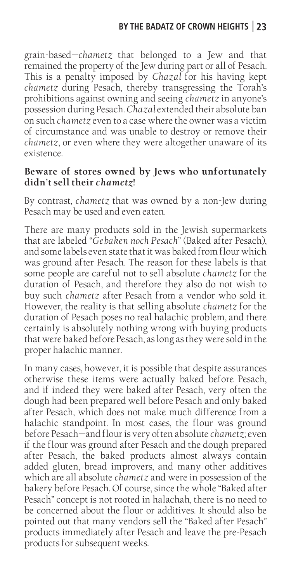grain-based—*chametz* that belonged to a Jew and that remained the property of the Jew during part or all of Pesach. This is a penalty imposed by *Chazal* for his having kept *chametz* during Pesach, thereby transgressing the Torah's prohibitions against owning and seeing *chametz* in anyone's possession during Pesach. *Chazal* extended their absolute ban on such *chametz* even to a case where the owner was a victim of circumstance and was unable to destroy or remove their *chametz*, or even where they were altogether unaware of its existence.

#### **Beware of stores owned by Jews who unfortunately didn't sell their** *chametz***!**

By contrast, *chametz* that was owned by a non-Jew during Pesach may be used and even eaten.

There are many products sold in the Jewish supermarkets that are labeled "*Gebaken noch Pesach*" (Baked after Pesach), and some labels even state that it was baked from flour which was ground after Pesach. The reason for these labels is that some people are careful not to sell absolute *chametz* for the duration of Pesach, and therefore they also do not wish to buy such *chametz* after Pesach from a vendor who sold it*.* However, the reality is that selling absolute *chametz* for the duration of Pesach poses no real halachic problem, and there certainly is absolutely nothing wrong with buying products that were baked before Pesach, as long as they were sold in the proper halachic manner.

In many cases, however, it is possible that despite assurances otherwise these items were actually baked before Pesach, and if indeed they were baked after Pesach, very often the dough had been prepared well before Pesach and only baked after Pesach, which does not make much difference from a halachic standpoint. In most cases, the flour was ground before Pesach—and flour is very often absolute *chametz*; even if the flour was ground after Pesach and the dough prepared after Pesach, the baked products almost always contain added gluten, bread improvers, and many other additives which are all absolute *chametz* and were in possession of the bakery before Pesach. Of course, since the whole "Baked after Pesach" concept is not rooted in halachah, there is no need to be concerned about the flour or additives. It should also be pointed out that many vendors sell the "Baked after Pesach" products immediately after Pesach and leave the pre-Pesach products for subsequent weeks.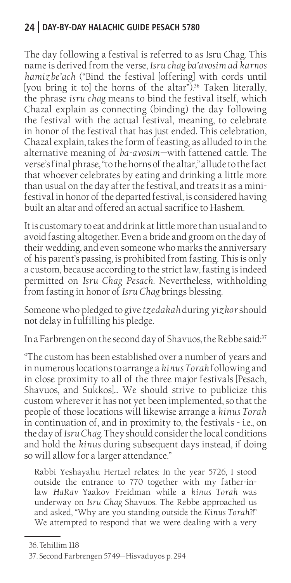The day following a festival is referred to as Isru Chag. This name is derived from the verse, *Isru chag ba'avosim ad karnos hamizbe'ach* ("Bind the festival [offering] with cords until [you bring it to] the horns of the altar").<sup>36</sup> Taken literally, the phrase *isru chag* means to bind the festival itself, which Chazal explain as connecting (binding) the day following the festival with the actual festival, meaning, to celebrate in honor of the festival that has just ended. This celebration, Chazal explain, takes the form of feasting, as alluded to in the alternative meaning of *ba-avosim*—with fattened cattle. The verse's final phrase, "to the horns of the altar," allude to the fact that whoever celebrates by eating and drinking a little more than usual on the day after the festival, and treats it as a minifestival in honor of the departed festival, is considered having built an altar and offered an actual sacrifice to Hashem.

It is customary to eat and drink at little more than usual and to avoid fasting altogether. Even a bride and groom on the day of their wedding, and even someone who marks the anniversary of his parent's passing, is prohibited from fasting. This is only a custom, because according to the strict law, fasting is indeed permitted on *Isru Chag Pesach*. Nevertheless, withholding from fasting in honor of *Isru Chag* brings blessing.

Someone who pledged to give *tzedakah* during *yizkor* should not delay in fulfilling his pledge.

In a Farbrengen on the second day of Shavuos, the Rebbe said:<sup>37</sup>

"The custom has been established over a number of years and in numerous locations to arrange a *kinus Torah* following and in close proximity to all of the three major festivals [Pesach, Shavuos, and Sukkos]… We should strive to publicize this custom wherever it has not yet been implemented, so that the people of those locations will likewise arrange a *kinus Torah* in continuation of, and in proximity to, the festivals - i.e., on the day of *Isru Chag*. They should consider the local conditions and hold the *kinus* during subsequent days instead, if doing so will allow for a larger attendance."

Rabbi Yeshayahu Hertzel relates: In the year 5726, I stood outside the entrance to 770 together with my father-inlaw *HaRav* Yaakov Freidman while a *kinus Torah* was underway on *Isru Chag* Shavuos. The Rebbe approached us and asked, "Why are you standing outside the *Kinus Torah*?!" We attempted to respond that we were dealing with a very

<sup>36.</sup> Tehillim 118

<sup>37.</sup> Second Farbrengen 5749—Hisvaduyos p. 294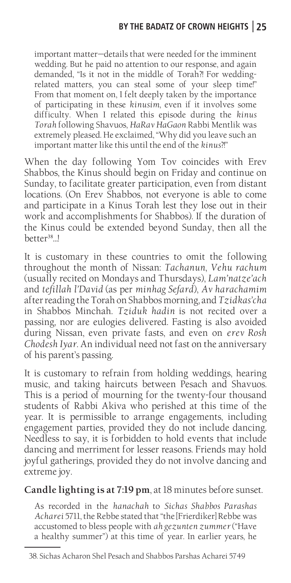important matter—details that were needed for the imminent wedding. But he paid no attention to our response, and again demanded, "Is it not in the middle of Torah?! For weddingrelated matters, you can steal some of your sleep time!" From that moment on, I felt deeply taken by the importance of participating in these *kinusim*, even if it involves some difficulty. When I related this episode during the *kinus Torah* following Shavuos, *HaRav HaGaon* Rabbi Mentlik was extremely pleased. He exclaimed, "Why did you leave such an important matter like this until the end of the *kinus*?!"

When the day following Yom Tov coincides with Erev Shabbos, the Kinus should begin on Friday and continue on Sunday, to facilitate greater participation, even from distant locations. (On Erev Shabbos, not everyone is able to come and participate in a Kinus Torah lest they lose out in their work and accomplishments for Shabbos). If the duration of the Kinus could be extended beyond Sunday, then all the better<sup>38</sup>...!

It is customary in these countries to omit the following throughout the month of Nissan: *Tachanun*, *Vehu rachum*  (usually recited on Mondays and Thursdays), *Lam'natze'ach*  and *tefillah l'David* (as per *minhag Sefard*), *Av harachamim*  after reading the Torah on Shabbos morning, and *Tzidkas'cha*  in Shabbos Minchah. *Tziduk hadin* is not recited over a passing, nor are eulogies delivered. Fasting is also avoided during Nissan, even private fasts, and even on *erev Rosh Chodesh Iyar*. An individual need not fast on the anniversary of his parent's passing.

It is customary to refrain from holding weddings, hearing music, and taking haircuts between Pesach and Shavuos. This is a period of mourning for the twenty-four thousand students of Rabbi Akiva who perished at this time of the year. It is permissible to arrange engagements, including engagement parties, provided they do not include dancing. Needless to say, it is forbidden to hold events that include dancing and merriment for lesser reasons. Friends may hold joyful gatherings, provided they do not involve dancing and extreme joy.

**Candle lighting is at 7:19 pm**, at 18 minutes before sunset.

As recorded in the *hanachah* to *Sichas Shabbos Parashas Acharei* 5711, the Rebbe stated that "the [Frierdiker] Rebbe was accustomed to bless people with *ah gezunten zummer* ("Have a healthy summer") at this time of year. In earlier years, he

<sup>38.</sup> Sichas Acharon Shel Pesach and Shabbos Parshas Acharei 5749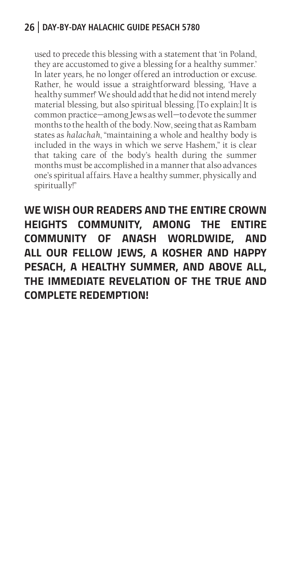used to precede this blessing with a statement that 'in Poland, they are accustomed to give a blessing for a healthy summer.' In later years, he no longer offered an introduction or excuse. Rather, he would issue a straightforward blessing, 'Have a healthy summer!' We should add that he did not intend merely material blessing, but also spiritual blessing. [To explain:] It is common practice—among Jews as well—to devote the summer months to the health of the body. Now, seeing that as Rambam states as *halachah*, "maintaining a whole and healthy body is included in the ways in which we serve Hashem," it is clear that taking care of the body's health during the summer months must be accomplished in a manner that also advances one's spiritual affairs. Have a healthy summer, physically and spiritually!"

**WE WISH OUR READERS AND THE ENTIRE CROWN HEIGHTS COMMUNITY, AMONG THE ENTIRE COMMUNITY OF ANASH WORLDWIDE, AND ALL OUR FELLOW JEWS, A KOSHER AND HAPPY PESACH, A HEALTHY SUMMER, AND ABOVE ALL, THE IMMEDIATE REVELATION OF THE TRUE AND COMPLETE REDEMPTION!**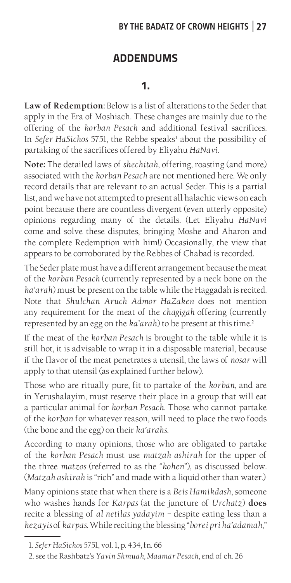#### **BY THE BADATZ OF CROWN HEIGHTS 27**

#### **ADDENDUMS**

#### **1.**

**Law of Redemption:** Below is a list of alterations to the Seder that apply in the Era of Moshiach. These changes are mainly due to the offering of the *korban Pesach* and additional festival sacrifices. In *Sefer HaSichos* 5751, the Rebbe speaks<sup>1</sup> about the possibility of partaking of the sacrifices offered by Eliyahu *HaNavi*.

**Note:** The detailed laws of *shechitah*, offering, roasting (and more) associated with the *korban Pesach* are not mentioned here. We only record details that are relevant to an actual Seder. This is a partial list, and we have not attempted to present all halachic views on each point because there are countless divergent (even utterly opposite) opinions regarding many of the details. (Let Eliyahu *HaNavi*  come and solve these disputes, bringing Moshe and Aharon and the complete Redemption with him!) Occasionally, the view that appears to be corroborated by the Rebbes of Chabad is recorded.

The Seder plate must have a different arrangement because the meat of the *korban Pesach* (currently represented by a neck bone on the *ka'arah*) must be present on the table while the Haggadah is recited. Note that *Shulchan Aruch Admor HaZaken* does not mention any requirement for the meat of the *chagigah* offering (currently represented by an egg on the *ka'arah*) to be present at this time.<sup>2</sup>

If the meat of the *korban Pesach* is brought to the table while it is still hot, it is advisable to wrap it in a disposable material, because if the flavor of the meat penetrates a utensil, the laws of *nosar* will apply to that utensil (as explained further below).

Those who are ritually pure, fit to partake of the *korban*, and are in Yerushalayim, must reserve their place in a group that will eat a particular animal for *korban Pesach*. Those who cannot partake of the *korban* for whatever reason, will need to place the two foods (the bone and the egg) on their *ka'arahs*.

According to many opinions, those who are obligated to partake of the *korban Pesach* must use *matzah ashirah* for the upper of the three *matzos* (referred to as the "*kohen*"), as discussed below. (*Matzah ashirah* is "rich" and made with a liquid other than water.)

Many opinions state that when there is a *Beis Hamikdash*, someone who washes hands for *Karpas* (at the juncture of *Urchatz*) **does**  recite a blessing of *al netilas yadayim* – despite eating less than a *kezayis* of *karpas*. While reciting the blessing "*borei pri ha'adamah*,"

<sup>1.</sup> *Sefer HaSichos* 5751, vol. 1, p. 434, fn. 66

<sup>2.</sup> see the Rashbatz's *Yavin Shmuah, Maamar Pesach*, end of ch. 26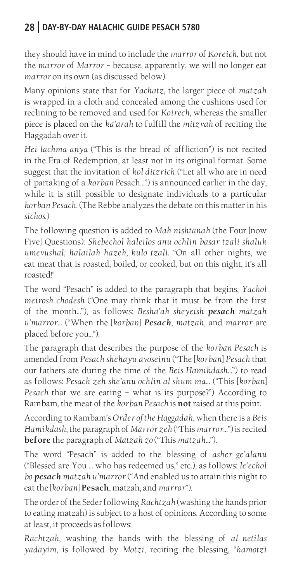they should have in mind to include the *marror* of *Koreich*, but not the *marror* of *Marror* – because, apparently, we will no longer eat *marror* on its own (as discussed below).

Many opinions state that for *Yachatz*, the larger piece of *matzah*  is wrapped in a cloth and concealed among the cushions used for reclining to be removed and used for *Koirech*, whereas the smaller piece is placed on the *ka'arah* to fulfill the *mitzvah* of reciting the Haggadah over it.

*Hei lachma anya* ("This is the bread of affliction") is not recited in the Era of Redemption, at least not in its original format. Some suggest that the invitation of *kol ditzrich* ("Let all who are in need of partaking of a *korban* Pesach…") is announced earlier in the day, while it is still possible to designate individuals to a particular *korban Pesach*. (The Rebbe analyzes the debate on this matter in his *sichos*.)

The following question is added to *Mah nishtanah* (the Four [now Five] Questions): *Shebechol haleilos anu ochlin basar tzali shaluk umevushal; halailah hazeh, kulo tzali*. "On all other nights, we eat meat that is roasted, boiled, or cooked, but on this night, it's all roasted!"

The word "Pesach" is added to the paragraph that begins, *Yachol meirosh chodesh* ("One may think that it must be from the first of the month…"), as follows: *Besha'ah sheyeish pesach matzah u'marror*… ("When the [*korban*] *Pesach*, *matzah*, and *marror* are placed before you…").

The paragraph that describes the purpose of the *korban Pesach* is amended from *Pesach shehayu avoseinu* ("The [*korban*] *Pesach* that our fathers ate during the time of the *Beis Hamikdash…*") to read as follows: *Pesach zeh she'anu ochlin al shum ma*… ("This [*korban*] *Pesach* that we are eating – what is its purpose?") According to Rambam, the meat of the *korban Pesach* is **not** raised at this point.

According to Rambam's *Order of the Haggadah*, when there is a *Beis Hamikdash*, the paragraph of *Marror zeh* ("This *marror…*") is recited **before** the paragraph of *Matzah zo* ("This *matzah…*").

The word "Pesach" is added to the blessing of *asher ge'alanu*  ("Blessed are You … who has redeemed us," etc.), as follows: *le'echol bo pesach matzah u'marror* ("And enabled us to attain this night to eat the [*korban*] **Pesach**, matzah, and *marror*").

The order of the Seder following *Rachtzah* (washing the hands prior to eating matzah) is subject to a host of opinions. According to some at least, it proceeds as follows:

*Rachtzah*, washing the hands with the blessing of *al netilas yadayim*, is followed by *Motzi*, reciting the blessing, "*hamotzi*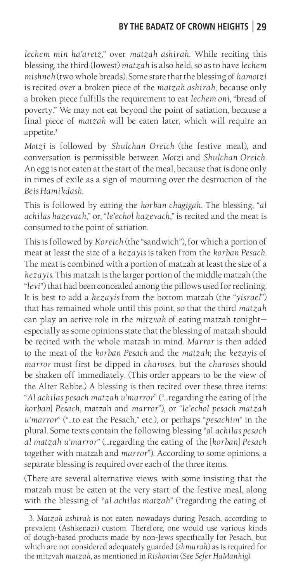*lechem min ha'aretz*," over *matzah ashirah*. While reciting this blessing, the third (lowest) *matzah* is also held, so as to have *lechem mishneh* (two whole breads). Some state that the blessing of *hamotzi*  is recited over a broken piece of the *matzah ashirah*, because only a broken piece fulfills the requirement to eat *lechem oni*, "bread of poverty." We may not eat beyond the point of satiation, because a final piece of *matzah* will be eaten later, which will require an appetite.<sup>3</sup>

*Motzi* is followed by *Shulchan Oreich* (the festive meal), and conversation is permissible between *Motzi* and *Shulchan Oreich*. An egg is not eaten at the start of the meal, because that is done only in times of exile as a sign of mourning over the destruction of the *Beis Hamikdash*.

This is followed by eating the *korban chagigah*. The blessing, "*al achilas hazevach*," or, "*le'echol hazevach*," is recited and the meat is consumed to the point of satiation.

This is followed by *Koreich* (the "sandwich"), for which a portion of meat at least the size of a *kezayis* is taken from the *korban Pesach*. The meat is combined with a portion of matzah at least the size of a *kezayis*. This matzah is the larger portion of the middle matzah (the "*levi*") that had been concealed among the pillows used for reclining. It is best to add a *kezayis* from the bottom matzah (the "*yisrael*") that has remained whole until this point, so that the third *matzah*  can play an active role in the *mitzvah* of eating matzah tonight especially as some opinions state that the blessing of matzah should be recited with the whole matzah in mind. *Marror* is then added to the meat of the *korban Pesach* and the *matzah*; the *kezayis* of *marror* must first be dipped in *charoses*, but the *charoses* should be shaken off immediately. (This order appears to be the view of the Alter Rebbe.) A blessing is then recited over these three items: "*Al achilas pesach matzah u'marror*" ("…regarding the eating of [the *korban*] *Pesach*, matzah and *marror*"), or "*le'echol pesach matzah u'marror*" ("…to eat the Pesach," etc.), or perhaps "*pesachim*" in the plural. Some texts contain the following blessing "al *achilas pesach al matzah u'marror*" (…regarding the eating of the [*korban*] *Pesach*  together with matzah and *marror*"). According to some opinions, a separate blessing is required over each of the three items.

(There are several alternative views, with some insisting that the matzah must be eaten at the very start of the festive meal, along with the blessing of "*al achilas matzah*" ("regarding the eating of

<sup>3.</sup> *Matzah ashirah* is not eaten nowadays during Pesach, according to prevalent (Ashkenazi) custom. Therefore, one would use various kinds of dough-based products made by non-Jews specifically for Pesach, but which are not considered adequately guarded (*shmurah*) as is required for the mitzvah *matzah*, as mentioned in *Rishonim* (See *Sefer HaManhig*).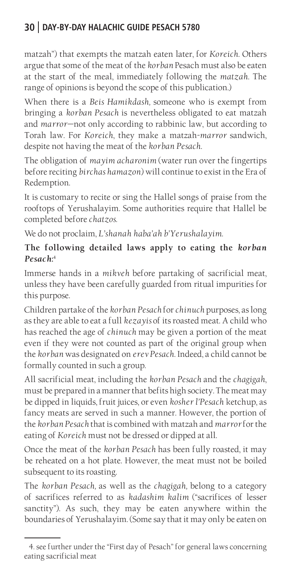matzah") that exempts the matzah eaten later, for *Koreich*. Others argue that some of the meat of the *korban* Pesach must also be eaten at the start of the meal, immediately following the *matzah*. The range of opinions is beyond the scope of this publication.)

When there is a *Beis Hamikdash,* someone who is exempt from bringing a *korban Pesach* is nevertheless obligated to eat matzah and *marror*—not only according to rabbinic law, but according to Torah law. For *Koreich*, they make a matzah*-marror* sandwich, despite not having the meat of the *korban Pesach*.

The obligation of *mayim acharonim* (water run over the fingertips before reciting *birchas hamazon*) will continue to exist in the Era of Redemption.

It is customary to recite or sing the Hallel songs of praise from the rooftops of Yerushalayim. Some authorities require that Hallel be completed before *chatzos*.

We do not proclaim, *L'shanah haba'ah b'Yerushalayim.* 

#### **The following detailed laws apply to eating the** *korban Pesach***:** 4

Immerse hands in a *mikveh* before partaking of sacrificial meat, unless they have been carefully guarded from ritual impurities for this purpose.

Children partake of the *korban Pesach* for *chinuch* purposes, as long as they are able to eat a full *kezayis* of its roasted meat. A child who has reached the age of *chinuch* may be given a portion of the meat even if they were not counted as part of the original group when the *korban* was designated on *erev Pesach*. Indeed, a child cannot be formally counted in such a group.

All sacrificial meat, including the *korban Pesach* and the *chagigah*, must be prepared in a manner that befits high society. The meat may be dipped in liquids, fruit juices, or even *kosher l'Pesach* ketchup, as fancy meats are served in such a manner. However, the portion of the *korban Pesach* that is combined with matzah and *marror* for the eating of *Koreich* must not be dressed or dipped at all.

Once the meat of the *korban Pesach* has been fully roasted, it may be reheated on a hot plate. However, the meat must not be boiled subsequent to its roasting.

The *korban Pesach,* as well as the *chagigah,* belong to a category of sacrifices referred to as *kadashim kalim* ("sacrifices of lesser sanctity"). As such, they may be eaten anywhere within the boundaries of Yerushalayim. (Some say that it may only be eaten on

<sup>4.</sup> see further under the "First day of Pesach" for general laws concerning eating sacrificial meat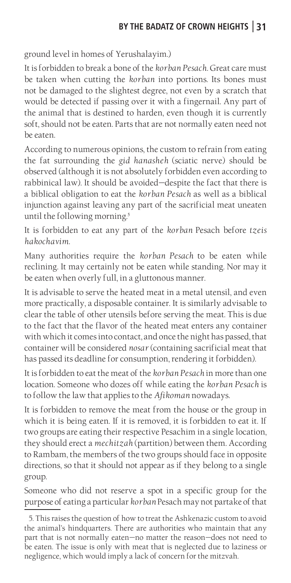ground level in homes of Yerushalayim.)

It is forbidden to break a bone of the *korban Pesach*. Great care must be taken when cutting the *korban* into portions. Its bones must not be damaged to the slightest degree, not even by a scratch that would be detected if passing over it with a fingernail. Any part of the animal that is destined to harden, even though it is currently soft, should not be eaten. Parts that are not normally eaten need not be eaten.

According to numerous opinions, the custom to refrain from eating the fat surrounding the *gid hanasheh* (sciatic nerve) should be observed (although it is not absolutely forbidden even according to rabbinical law). It should be avoided—despite the fact that there is a biblical obligation to eat the *korban Pesach* as well as a biblical injunction against leaving any part of the sacrificial meat uneaten until the following morning.<sup>5</sup>

It is forbidden to eat any part of the *korban* Pesach before *tzeis hakochavim*.

Many authorities require the *korban Pesach* to be eaten while reclining. It may certainly not be eaten while standing. Nor may it be eaten when overly full, in a gluttonous manner.

It is advisable to serve the heated meat in a metal utensil, and even more practically, a disposable container. It is similarly advisable to clear the table of other utensils before serving the meat. This is due to the fact that the flavor of the heated meat enters any container with which it comes into contact, and once the night has passed, that container will be considered *nosar* (containing sacrificial meat that has passed its deadline for consumption, rendering it forbidden).

It is forbidden to eat the meat of the *korban Pesach* in more than one location. Someone who dozes off while eating the *korban Pesach* is to follow the law that applies to the *Afikoman* nowadays.

It is forbidden to remove the meat from the house or the group in which it is being eaten. If it is removed, it is forbidden to eat it. If two groups are eating their respective Pesachim in a single location, they should erect a *mechitzah* (partition) between them. According to Rambam, the members of the two groups should face in opposite directions, so that it should not appear as if they belong to a single group.

Someone who did not reserve a spot in a specific group for the purpose of eating a particular *korban* Pesach may not partake of that

<sup>5.</sup> This raises the question of how to treat the Ashkenazic custom to avoid the animal's hindquarters. There are authorities who maintain that any part that is not normally eaten—no matter the reason—does not need to be eaten. The issue is only with meat that is neglected due to laziness or negligence, which would imply a lack of concern for the mitzvah.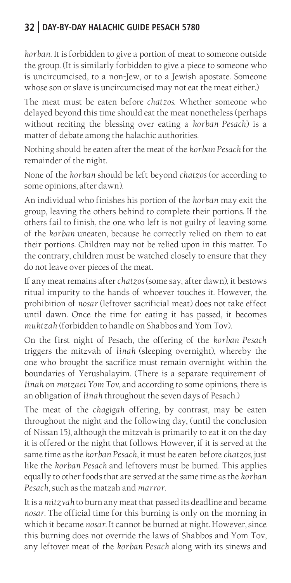*korban*. It is forbidden to give a portion of meat to someone outside the group. (It is similarly forbidden to give a piece to someone who is uncircumcised, to a non-Jew, or to a Jewish apostate. Someone whose son or slave is uncircumcised may not eat the meat either.)

The meat must be eaten before *chatzos*. Whether someone who delayed beyond this time should eat the meat nonetheless (perhaps without reciting the blessing over eating a *korban Pesach*) is a matter of debate among the halachic authorities.

Nothing should be eaten after the meat of the *korban Pesach* for the remainder of the night.

None of the *korban* should be left beyond *chatzos* (or according to some opinions, after dawn).

An individual who finishes his portion of the *korban* may exit the group, leaving the others behind to complete their portions. If the others fail to finish, the one who left is not guilty of leaving some of the *korban* uneaten, because he correctly relied on them to eat their portions. Children may not be relied upon in this matter. To the contrary, children must be watched closely to ensure that they do not leave over pieces of the meat.

If any meat remains after *chatzos* (some say, after dawn), it bestows ritual impurity to the hands of whoever touches it. However, the prohibition of *nosar* (leftover sacrificial meat) does not take effect until dawn. Once the time for eating it has passed, it becomes *muktzah* (forbidden to handle on Shabbos and Yom Tov).

On the first night of Pesach, the offering of the *korban Pesach*  triggers the mitzvah of *linah* (sleeping overnight), whereby the one who brought the sacrifice must remain overnight within the boundaries of Yerushalayim. (There is a separate requirement of *linah* on *motzaei Yom Tov*, and according to some opinions, there is an obligation of *linah* throughout the seven days of Pesach.)

The meat of the *chagigah* offering, by contrast, may be eaten throughout the night and the following day, (until the conclusion of Nissan 15), although the mitzvah is primarily to eat it on the day it is offered or the night that follows. However, if it is served at the same time as the *korban Pesach*, it must be eaten before *chatzos*, just like the *korban Pesach* and leftovers must be burned. This applies equally to other foods that are served at the same time as the *korban Pesach*, such as the matzah and *marror*.

It is a *mitzvah* to burn any meat that passed its deadline and became *nosar*. The official time for this burning is only on the morning in which it became *nosar*. It cannot be burned at night. However, since this burning does not override the laws of Shabbos and Yom Tov, any leftover meat of the *korban Pesach* along with its sinews and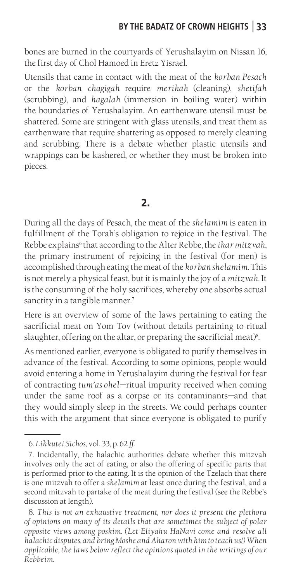bones are burned in the courtyards of Yerushalayim on Nissan 16, the first day of Chol Hamoed in Eretz Yisrael.

Utensils that came in contact with the meat of the *korban Pesach*  or the *korban chagigah* require *merikah* (cleaning), *shetifah* (scrubbing), and *hagalah* (immersion in boiling water) within the boundaries of Yerushalayim. An earthenware utensil must be shattered. Some are stringent with glass utensils, and treat them as earthenware that require shattering as opposed to merely cleaning and scrubbing. There is a debate whether plastic utensils and wrappings can be kashered, or whether they must be broken into pieces.

#### **2.**

During all the days of Pesach, the meat of the *shelamim* is eaten in fulfillment of the Torah's obligation to rejoice in the festival. The Rebbe explains<sup>6</sup> that according to the Alter Rebbe, the *ikar mitzvah*, the primary instrument of rejoicing in the festival (for men) is accomplished through eating the meat of the *korban shelamim*. This is not merely a physical feast, but it is mainly the joy of a *mitzvah*. It is the consuming of the holy sacrifices, whereby one absorbs actual sanctity in a tangible manner.<sup>7</sup>

Here is an overview of some of the laws pertaining to eating the sacrificial meat on Yom Tov (without details pertaining to ritual slaughter, offering on the altar, or preparing the sacrificial meat)<sup>8</sup>. .

As mentioned earlier, everyone is obligated to purify themselves in advance of the festival. According to some opinions, people would avoid entering a home in Yerushalayim during the festival for fear of contracting *tum'as ohel—*ritual impurity received when coming under the same roof as a corpse or its contaminants—and that they would simply sleep in the streets. We could perhaps counter this with the argument that since everyone is obligated to purify

<sup>6.</sup> *Likkutei Sichos,* vol. 33, p. 62 *ff.*

<sup>7.</sup> Incidentally, the halachic authorities debate whether this mitzvah involves only the act of eating, or also the offering of specific parts that is performed prior to the eating. It is the opinion of the Tzelach that there is one mitzvah to offer a *shelamim* at least once during the festival, and a second mitzvah to partake of the meat during the festival (see the Rebbe's discussion at length).

<sup>8.</sup> *This is not an exhaustive treatment, nor does it present the plethora of opinions on many of its details that are sometimes the subject of polar opposite views among poskim. (Let Eliyahu HaNavi come and resolve all halachic disputes, and bring Moshe and Aharon with him to teach us!) When applicable, the laws below reflect the opinions quoted in the writings of our Rebbeim.*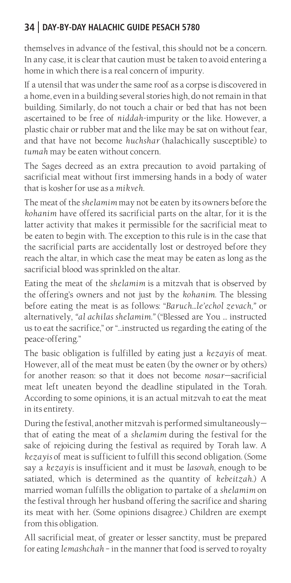themselves in advance of the festival, this should not be a concern. In any case, it is clear that caution must be taken to avoid entering a home in which there is a real concern of impurity.

If a utensil that was under the same roof as a corpse is discovered in a home, even in a building several stories high, do not remain in that building. Similarly, do not touch a chair or bed that has not been ascertained to be free of *niddah*-impurity or the like. However, a plastic chair or rubber mat and the like may be sat on without fear, and that have not become *huchshar* (halachically susceptible) to *tumah* may be eaten without concern.

The Sages decreed as an extra precaution to avoid partaking of sacrificial meat without first immersing hands in a body of water that is kosher for use as a *mikveh*.

The meat of the *shelamim* may not be eaten by its owners before the *kohanim* have offered its sacrificial parts on the altar, for it is the latter activity that makes it permissible for the sacrificial meat to be eaten to begin with. The exception to this rule is in the case that the sacrificial parts are accidentally lost or destroyed before they reach the altar, in which case the meat may be eaten as long as the sacrificial blood was sprinkled on the altar.

Eating the meat of the *shelamim* is a mitzvah that is observed by the offering's owners and not just by the *kohanim*. The blessing before eating the meat is as follows: "*Baruch...le'echol zevach,"* or alternatively, *"al achilas shelamim."* ("Blessed are You … instructed us to eat the sacrifice," or "…instructed us regarding the eating of the peace-offering*.*"

The basic obligation is fulfilled by eating just a *kezayis* of meat. However, all of the meat must be eaten (by the owner or by others) for another reason: so that it does not become *nosar*—sacrificial meat left uneaten beyond the deadline stipulated in the Torah. According to some opinions, it is an actual mitzvah to eat the meat in its entirety.

During the festival, another mitzvah is performed simultaneously that of eating the meat of a *shelamim* during the festival for the sake of rejoicing during the festival as required by Torah law. A *kezayis* of meat is sufficient to fulfill this second obligation. (Some say a *kezayis* is insufficient and it must be *lasovah*, enough to be satiated, which is determined as the quantity of *kebeitzah*.) A married woman fulfills the obligation to partake of a *shelamim* on the festival through her husband offering the sacrifice and sharing its meat with her. (Some opinions disagree.) Children are exempt from this obligation.

All sacrificial meat, of greater or lesser sanctity, must be prepared for eating *lemashchah* – in the manner that food is served to royalty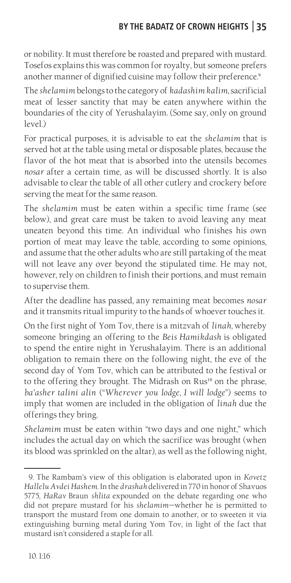or nobility. It must therefore be roasted and prepared with mustard. Tosefos explains this was common for royalty, but someone prefers another manner of dignified cuisine may follow their preference.<sup>9</sup>

The *shelamim* belongs to the category of *kadashim kalim*, sacrificial meat of lesser sanctity that may be eaten anywhere within the boundaries of the city of Yerushalayim. (Some say, only on ground level.)

For practical purposes, it is advisable to eat the *shelamim* that is served hot at the table using metal or disposable plates, because the flavor of the hot meat that is absorbed into the utensils becomes *nosar* after a certain time, as will be discussed shortly. It is also advisable to clear the table of all other cutlery and crockery before serving the meat for the same reason.

The *shelamim* must be eaten within a specific time frame (see below), and great care must be taken to avoid leaving any meat uneaten beyond this time. An individual who finishes his own portion of meat may leave the table, according to some opinions, and assume that the other adults who are still partaking of the meat will not leave any over beyond the stipulated time. He may not, however, rely on children to finish their portions, and must remain to supervise them.

After the deadline has passed, any remaining meat becomes *nosar*  and it transmits ritual impurity to the hands of whoever touches it.

On the first night of Yom Tov, there is a mitzvah of *linah,* whereby someone bringing an offering to the *Beis Hamikdash* is obligated to spend the entire night in Yerushalayim. There is an additional obligation to remain there on the following night, the eve of the second day of Yom Tov, which can be attributed to the festival or to the offering they brought. The Midrash on Rus<sup>10</sup> on the phrase, *ba'asher talini alin* ("*Wherever you lodge, I will lodge*") seems to imply that women are included in the obligation of *linah* due the offerings they bring.

*Shelamim* must be eaten within "two days and one night," which includes the actual day on which the sacrifice was brought (when its blood was sprinkled on the altar), as well as the following night,

<sup>9.</sup> The Rambam's view of this obligation is elaborated upon in *Kovetz Hallelu Avdei Hashem*. In the *drashah* delivered in 770 in honor of Shavuos 5775, *HaRav* Braun *shlita* expounded on the debate regarding one who did not prepare mustard for his *shelamim*—whether he is permitted to transport the mustard from one domain to another, or to sweeten it via extinguishing burning metal during Yom Tov, in light of the fact that mustard isn't considered a staple for all.